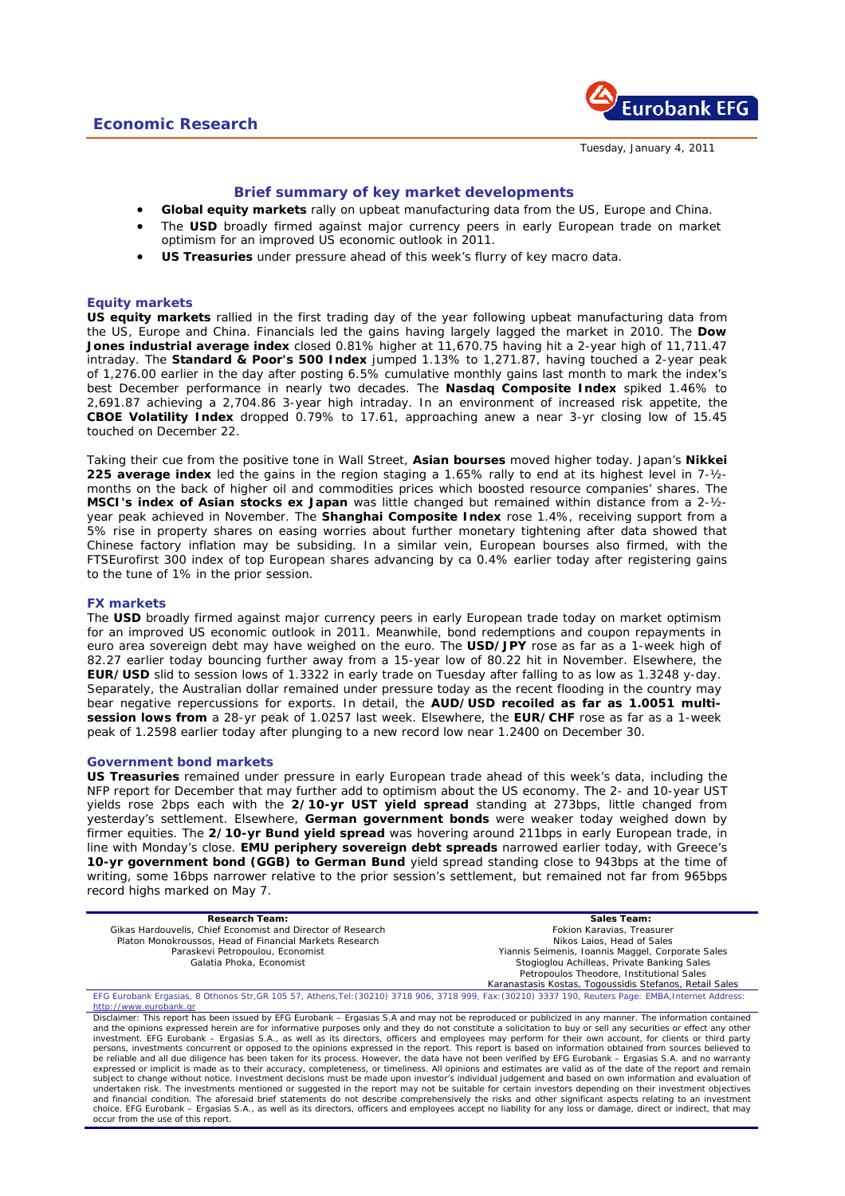

Tuesday, January 4, 2011

# **Brief summary of key market developments**

- **Global equity markets** rally on upbeat manufacturing data from the US, Europe and China.
- The USD broadly firmed against major currency peers in early European trade on market optimism for an improved US economic outlook in 2011.
- **US Treasuries** under pressure ahead of this week's flurry of key macro data.

# **Equity markets**

**US equity markets** rallied in the first trading day of the year following upbeat manufacturing data from the US, Europe and China. Financials led the gains having largely lagged the market in 2010. The **Dow Jones industrial average index** closed 0.81% higher at 11,670.75 having hit a 2-year high of 11,711.47 intraday. The **Standard & Poor's 500 Index** jumped 1.13% to 1,271.87, having touched a 2-year peak of 1,276.00 earlier in the day after posting 6.5% cumulative monthly gains last month to mark the index's best December performance in nearly two decades. The **Nasdaq Composite Index** spiked 1.46% to 2,691.87 achieving a 2,704.86 3-year high intraday. In an environment of increased risk appetite, the **CBOE Volatility Index** dropped 0.79% to 17.61, approaching anew a near 3-yr closing low of 15.45 touched on December 22.

Taking their cue from the positive tone in Wall Street, **Asian bourses** moved higher today. Japan's **Nikkei 225 average index** led the gains in the region staging a 1.65% rally to end at its highest level in 7-½ months on the back of higher oil and commodities prices which boosted resource companies' shares. The **MSCI's index of Asian stocks ex Japan** was little changed but remained within distance from a 2-½ year peak achieved in November. The **Shanghai Composite Index** rose 1.4%, receiving support from a 5% rise in property shares on easing worries about further monetary tightening after data showed that Chinese factory inflation may be subsiding. In a similar vein, European bourses also firmed, with the FTSEurofirst 300 index of top European shares advancing by ca 0.4% earlier today after registering gains to the tune of 1% in the prior session.

## **FX markets**

The **USD** broadly firmed against major currency peers in early European trade today on market optimism for an improved US economic outlook in 2011. Meanwhile, bond redemptions and coupon repayments in euro area sovereign debt may have weighed on the euro. The **USD/JPY** rose as far as a 1-week high of 82.27 earlier today bouncing further away from a 15-year low of 80.22 hit in November. Elsewhere, the **EUR/USD** slid to session lows of 1.3322 in early trade on Tuesday after falling to as low as 1.3248 y-day. Separately, the Australian dollar remained under pressure today as the recent flooding in the country may bear negative repercussions for exports. In detail, the **AUD/USD recoiled as far as 1.0051 multisession lows from** a 28-yr peak of 1.0257 last week. Elsewhere, the **EUR/CHF** rose as far as a 1-week peak of 1.2598 earlier today after plunging to a new record low near 1.2400 on December 30.

## **Government bond markets**

**US Treasuries** remained under pressure in early European trade ahead of this week's data, including the NFP report for December that may further add to optimism about the US economy. The 2- and 10-year UST yields rose 2bps each with the **2/10-yr UST yield spread** standing at 273bps, little changed from yesterday's settlement. Elsewhere, **German government bonds** were weaker today weighed down by firmer equities. The **2/10-yr Bund yield spread** was hovering around 211bps in early European trade, in line with Monday's close. **EMU periphery sovereign debt spreads** narrowed earlier today, with Greece's **10-yr government bond (GGB) to German Bund** yield spread standing close to 943bps at the time of writing, some 16bps narrower relative to the prior session's settlement, but remained not far from 965bps record highs marked on May 7.

| <b>Research Team:</b>                                                                                                                                                                                                                                                                                                                                                                                                                                                                                                                                                                                                                                                                                                                                                                                                                                                                                                                                                                                                                                                                                                                                                                                                                                                                                                                                                                                                                                                                                                                                                                                                                                                           | Sales Team:                                             |
|---------------------------------------------------------------------------------------------------------------------------------------------------------------------------------------------------------------------------------------------------------------------------------------------------------------------------------------------------------------------------------------------------------------------------------------------------------------------------------------------------------------------------------------------------------------------------------------------------------------------------------------------------------------------------------------------------------------------------------------------------------------------------------------------------------------------------------------------------------------------------------------------------------------------------------------------------------------------------------------------------------------------------------------------------------------------------------------------------------------------------------------------------------------------------------------------------------------------------------------------------------------------------------------------------------------------------------------------------------------------------------------------------------------------------------------------------------------------------------------------------------------------------------------------------------------------------------------------------------------------------------------------------------------------------------|---------------------------------------------------------|
| Gikas Hardouvelis, Chief Economist and Director of Research                                                                                                                                                                                                                                                                                                                                                                                                                                                                                                                                                                                                                                                                                                                                                                                                                                                                                                                                                                                                                                                                                                                                                                                                                                                                                                                                                                                                                                                                                                                                                                                                                     | Fokion Karavias, Treasurer                              |
| Platon Monokroussos, Head of Financial Markets Research                                                                                                                                                                                                                                                                                                                                                                                                                                                                                                                                                                                                                                                                                                                                                                                                                                                                                                                                                                                                                                                                                                                                                                                                                                                                                                                                                                                                                                                                                                                                                                                                                         | Nikos Laios, Head of Sales                              |
| Paraskevi Petropoulou, Economist                                                                                                                                                                                                                                                                                                                                                                                                                                                                                                                                                                                                                                                                                                                                                                                                                                                                                                                                                                                                                                                                                                                                                                                                                                                                                                                                                                                                                                                                                                                                                                                                                                                | Yiannis Seimenis, Ioannis Maggel, Corporate Sales       |
| Galatia Phoka, Economist                                                                                                                                                                                                                                                                                                                                                                                                                                                                                                                                                                                                                                                                                                                                                                                                                                                                                                                                                                                                                                                                                                                                                                                                                                                                                                                                                                                                                                                                                                                                                                                                                                                        | Stogioglou Achilleas, Private Banking Sales             |
|                                                                                                                                                                                                                                                                                                                                                                                                                                                                                                                                                                                                                                                                                                                                                                                                                                                                                                                                                                                                                                                                                                                                                                                                                                                                                                                                                                                                                                                                                                                                                                                                                                                                                 | Petropoulos Theodore, Institutional Sales               |
|                                                                                                                                                                                                                                                                                                                                                                                                                                                                                                                                                                                                                                                                                                                                                                                                                                                                                                                                                                                                                                                                                                                                                                                                                                                                                                                                                                                                                                                                                                                                                                                                                                                                                 | Karanastasis Kostas, Togoussidis Stefanos, Retail Sales |
| EFG Eurobank Ergasias, 8 Othonos Str, GR 105 57, Athens, Tel: (30210) 3718 906, 3718 999, Fax: (30210) 3337 190, Reuters Page: EMBA, Internet Address:                                                                                                                                                                                                                                                                                                                                                                                                                                                                                                                                                                                                                                                                                                                                                                                                                                                                                                                                                                                                                                                                                                                                                                                                                                                                                                                                                                                                                                                                                                                          |                                                         |
| http://www.eurobank.gr                                                                                                                                                                                                                                                                                                                                                                                                                                                                                                                                                                                                                                                                                                                                                                                                                                                                                                                                                                                                                                                                                                                                                                                                                                                                                                                                                                                                                                                                                                                                                                                                                                                          |                                                         |
| Disclaimer: This report has been issued by EFG Eurobank - Ergasias S.A and may not be reproduced or publicized in any manner. The information contained<br>and the opinions expressed herein are for informative purposes only and they do not constitute a solicitation to buy or sell any securities or effect any other<br>investment. EFG Eurobank – Ergasias S.A., as well as its directors, officers and employees may perform for their own account, for clients or third party<br>persons, investments concurrent or opposed to the opinions expressed in the report. This report is based on information obtained from sources believed to<br>be reliable and all due diligence has been taken for its process. However, the data have not been verified by EFG Eurobank – Ergasias S.A. and no warranty<br>expressed or implicit is made as to their accuracy, completeness, or timeliness. All opinions and estimates are valid as of the date of the report and remain<br>subject to change without notice. Investment decisions must be made upon investor's individual judgement and based on own information and evaluation of<br>undertaken risk. The investments mentioned or suggested in the report may not be suitable for certain investors depending on their investment objectives<br>and financial condition. The aforesaid brief statements do not describe comprehensively the risks and other significant aspects relating to an investment<br>choice. EFG Eurobank – Ergasias S.A., as well as its directors, officers and employees accept no liability for any loss or damage, direct or indirect, that may<br>occur from the use of this report. |                                                         |